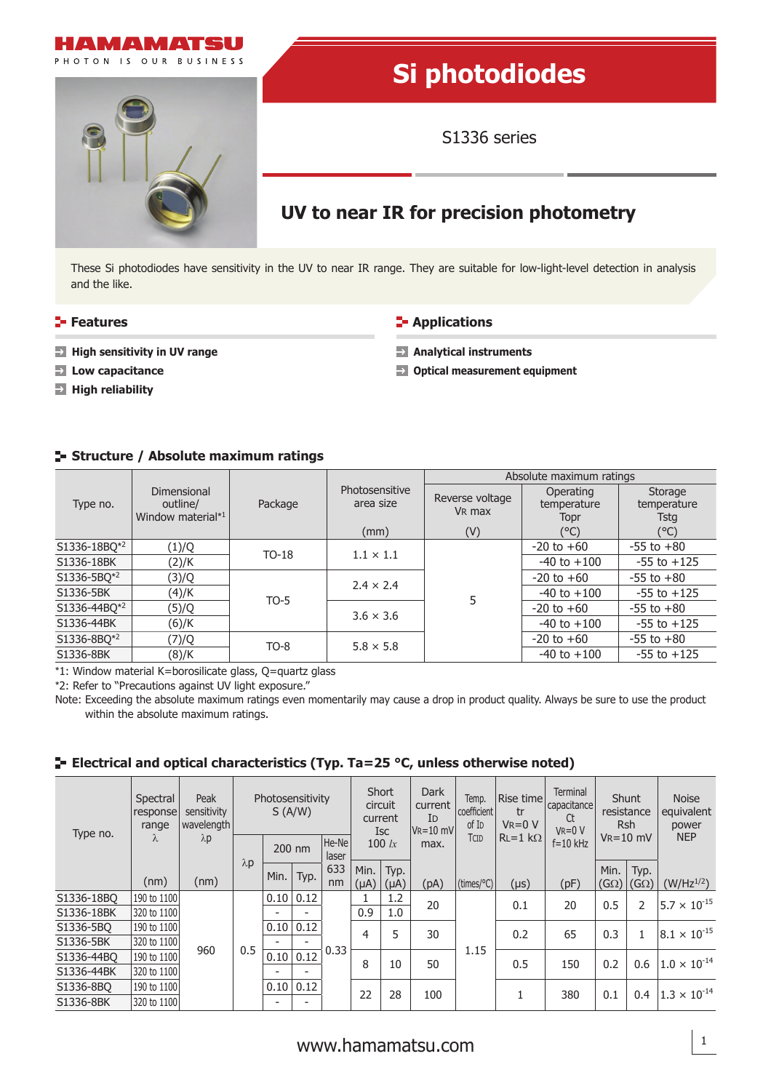



# **Si photodiodes**

S1336 series

## **UV to near IR for precision photometry**

These Si photodiodes have sensitivity in the UV to near IR range. They are suitable for low-light-level detection in analysis and the like.

- **Features Applications Applications**
- **High sensitivity in UV range and Server Server Server Server Server Server Server Server Server Server Server Server Server Server Server Server Server Server Server Server Server Server Server Server Server Server Server**
- 
- **High reliability**

- 
- **Low capacitance Community Community Community Community Community Community Community Community Community Community Community Community Community Community Community Community Community Community Community Community Com**

### **Structure / Absolute maximum ratings**

| Type no.                 |                                                     |         |                             | Absolute maximum ratings              |                                  |                                |  |  |  |
|--------------------------|-----------------------------------------------------|---------|-----------------------------|---------------------------------------|----------------------------------|--------------------------------|--|--|--|
|                          | <b>Dimensional</b><br>outline/<br>Window material*1 | Package | Photosensitive<br>area size | Reverse voltage<br>V <sub>R</sub> max | Operating<br>temperature<br>Topr | Storage<br>temperature<br>Tstg |  |  |  |
|                          |                                                     |         | (mm)                        | (V)                                   | (°C)                             | $(^{\circ}C)$                  |  |  |  |
| S1336-18BQ*2             | (1)/Q                                               | $TO-18$ | $1.1 \times 1.1$            |                                       | $-20$ to $+60$                   | $-55$ to $+80$                 |  |  |  |
| S1336-18BK               | (2)/K                                               |         |                             |                                       | $-40$ to $+100$                  | $-55$ to $+125$                |  |  |  |
| S1336-5BO*2              | (3)/Q                                               |         | $2.4 \times 2.4$            |                                       | $-20$ to $+60$                   | $-55$ to $+80$                 |  |  |  |
| S1336-5BK                | (4)/K                                               | $TO-5$  |                             |                                       | $-40$ to $+100$                  | $-55$ to $+125$                |  |  |  |
| S1336-44BQ <sup>*2</sup> | (5)/Q                                               |         | $3.6 \times 3.6$            |                                       | $-20$ to $+60$                   | $-55$ to $+80$                 |  |  |  |
| S1336-44BK               | (6)/K                                               |         |                             |                                       | $-40$ to $+100$                  | $-55$ to $+125$                |  |  |  |
| S1336-8BQ*2              | (7)/Q                                               | $TO-8$  | $5.8 \times 5.8$            |                                       | $-20$ to $+60$                   | $-55$ to $+80$                 |  |  |  |
| S1336-8BK                | (8)/K                                               |         |                             |                                       | $-40$ to $+100$                  | $-55$ to $+125$                |  |  |  |

\*1: Window material K=borosilicate glass, Q=quartz glass

\*2: Refer to "Precautions against UV light exposure."

Note: Exceeding the absolute maximum ratings even momentarily may cause a drop in product quality. Always be sure to use the product within the absolute maximum ratings.

### **E** Electrical and optical characteristics (Typ. Ta=25 °C, unless otherwise noted)

| Type no.   | Spectral<br>response<br>range<br>λ | Peak<br>sensitivity<br>wavelength<br>$\lambda p$ | Photosensitivity<br>S(A/W) |                          | Short<br>circuit<br>current<br><b>Isc</b> |          | <b>Dark</b><br>current<br>Id<br>$V_R = 10$ mV | Temp.<br>coefficient<br>of I <sub>D</sub> | Rise time<br>tr<br>$V_R = 0 V$ | <b>Terminal</b><br>capacitance<br>Ct<br>$V_R = 0 V$ | Shunt<br>resistance<br><b>Rsh</b> |               | <b>Noise</b><br>equivalent<br>power |                       |                        |
|------------|------------------------------------|--------------------------------------------------|----------------------------|--------------------------|-------------------------------------------|----------|-----------------------------------------------|-------------------------------------------|--------------------------------|-----------------------------------------------------|-----------------------------------|---------------|-------------------------------------|-----------------------|------------------------|
|            |                                    |                                                  |                            | He-Ne<br>200 nm<br>laser |                                           | 100 $lx$ |                                               | max.                                      | TCID                           | $RL=1 k\Omega$                                      | $f = 10$ kHz                      | $V_R = 10$ mV |                                     | <b>NEP</b>            |                        |
|            |                                    |                                                  | $\lambda$ p                | Min.                     | Typ.                                      | 633      | Min.                                          | Typ.                                      |                                |                                                     |                                   |               | Min.                                | Typ.                  |                        |
|            | (nm)                               | (nm)                                             |                            |                          |                                           | nm       | $(\mu A)$                                     | $(\mu A)$                                 | (pA)                           | $\vert$ (times/°C) $\vert$                          | $(\mu s)$                         | (pF)          | $(G\Omega)$                         | (G $\Omega$ )         | $(W/Hz^{1/2})$         |
| S1336-18BO | 190 to 1100                        | 960                                              |                            | 0.10                     | 0.12                                      |          |                                               | 1.2                                       | 20                             |                                                     | 0.1                               | 20            | 0.5                                 | 2                     | $15.7 \times 10^{-15}$ |
| S1336-18BK | 320 to 1100                        |                                                  |                            | $\overline{\phantom{0}}$ |                                           |          | 0.9                                           | 1.0                                       |                                |                                                     |                                   |               |                                     |                       |                        |
| S1336-5BO  | 190 to 1100                        |                                                  |                            | 0.10                     | 0.12                                      | 4        | 5                                             | 30                                        |                                | 0.2                                                 | 65                                |               |                                     | $8.1 \times 10^{-15}$ |                        |
| S1336-5BK  | 320 to 1100                        |                                                  |                            |                          |                                           | 0.33     |                                               |                                           |                                | 1.15                                                |                                   |               | 0.3                                 |                       |                        |
| S1336-44BO | 190 to 1100                        |                                                  | 0.5                        | 0.10                     | 0.12                                      |          | 8                                             | 10                                        | 50                             |                                                     | 0.5                               | 150           | 0.2                                 | 0.6                   | $1.0 \times 10^{-14}$  |
| S1336-44BK | 320 to 1100                        |                                                  |                            |                          |                                           |          |                                               |                                           |                                |                                                     |                                   |               |                                     |                       |                        |
| S1336-8BO  | 190 to 1100                        |                                                  |                            | 0.10                     | 0.12                                      |          |                                               |                                           |                                |                                                     |                                   |               |                                     |                       | $1.3 \times 10^{-14}$  |
| S1336-8BK  | 320 to 1100                        |                                                  |                            |                          |                                           |          | 22                                            | 28                                        | 100                            |                                                     |                                   | 380           | 0.1                                 | 0.4                   |                        |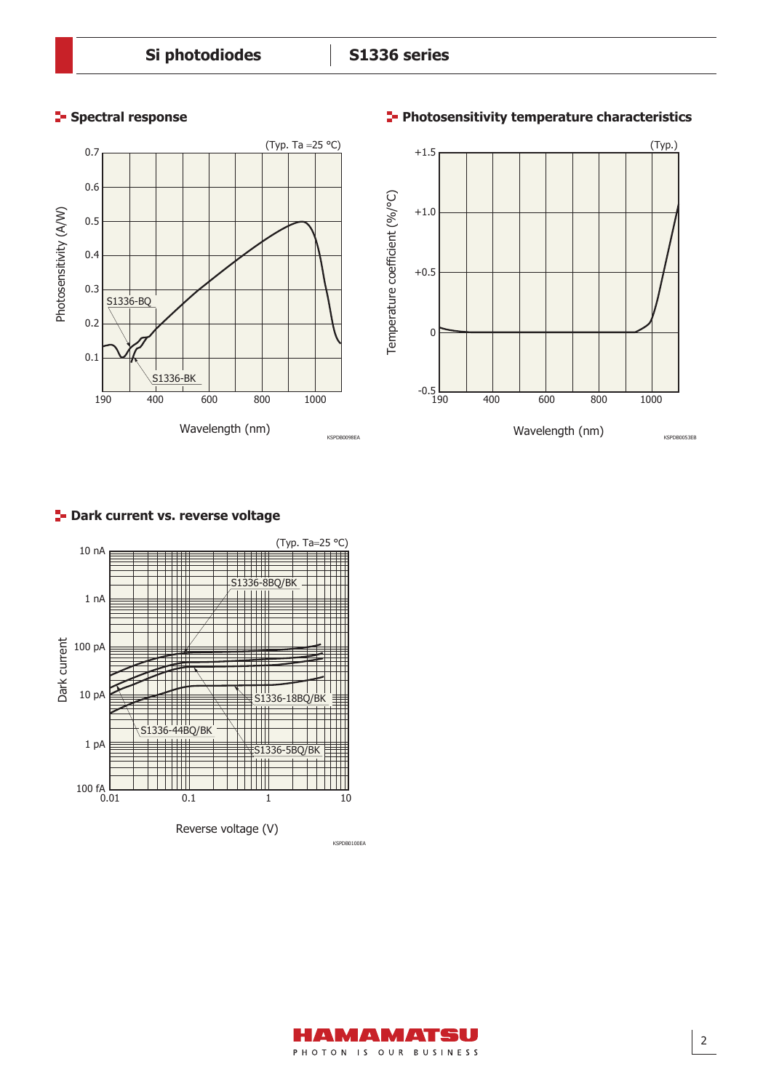

#### **Spectral response Photosensitivity temperature characteristics**



### **P**- Dark current vs. reverse voltage



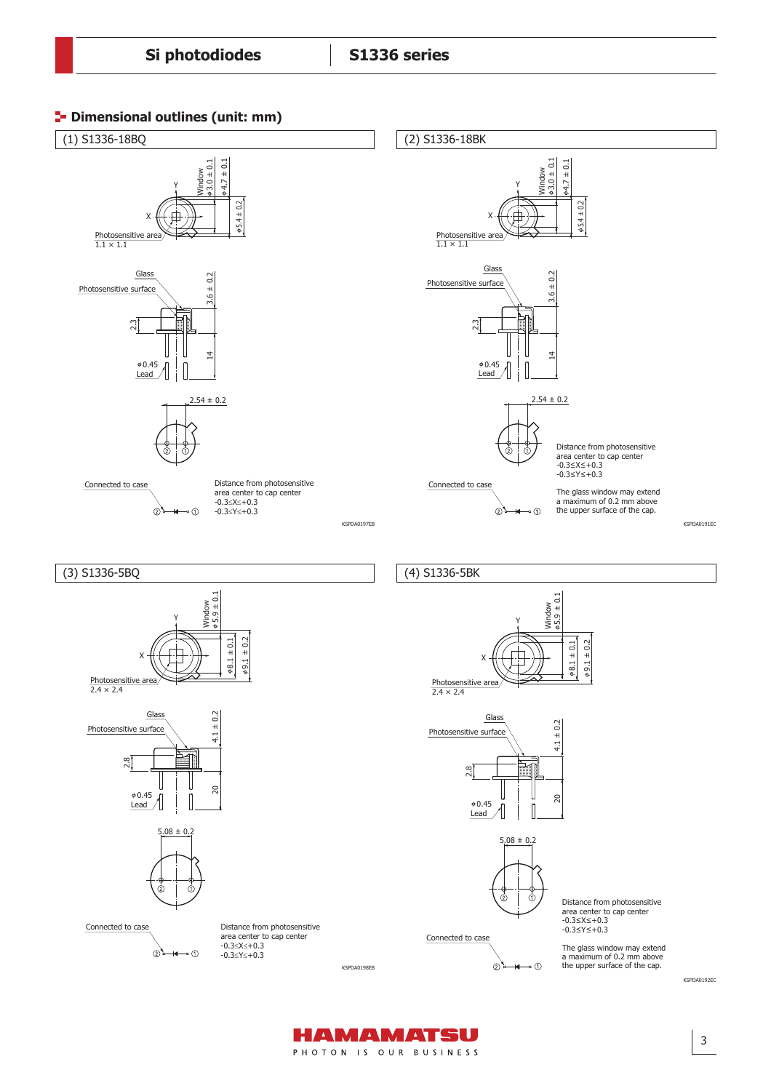



HAMAMATSU PHOTON IS OUR BUSINESS

3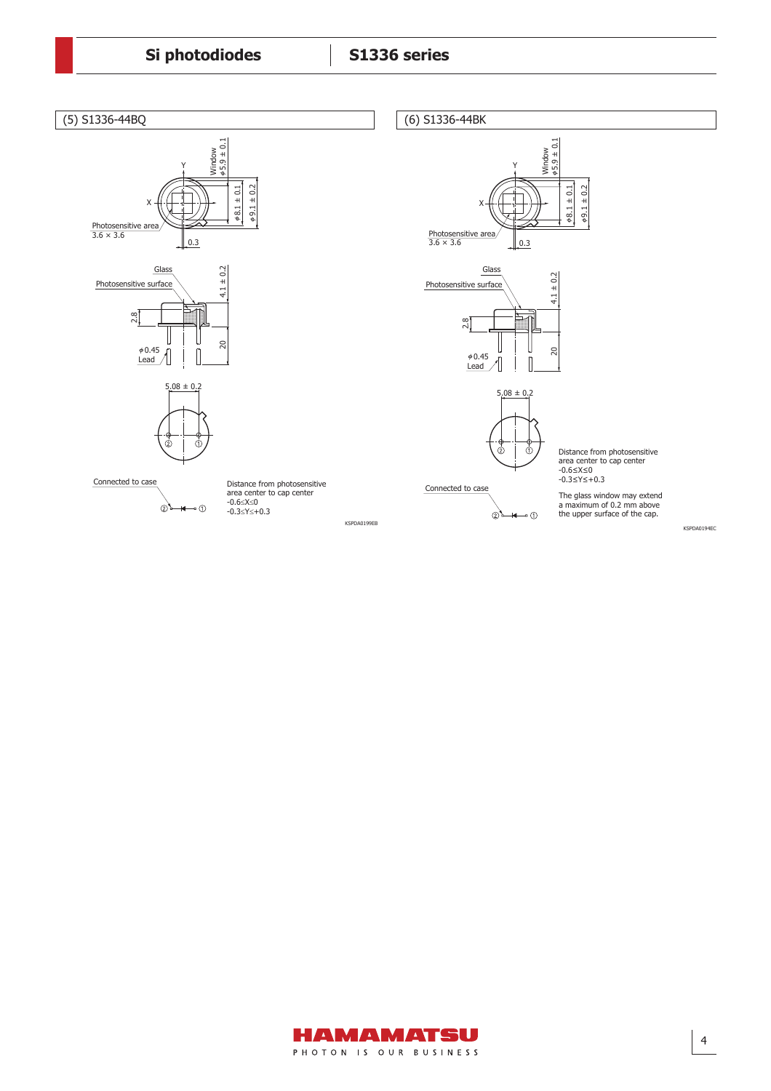

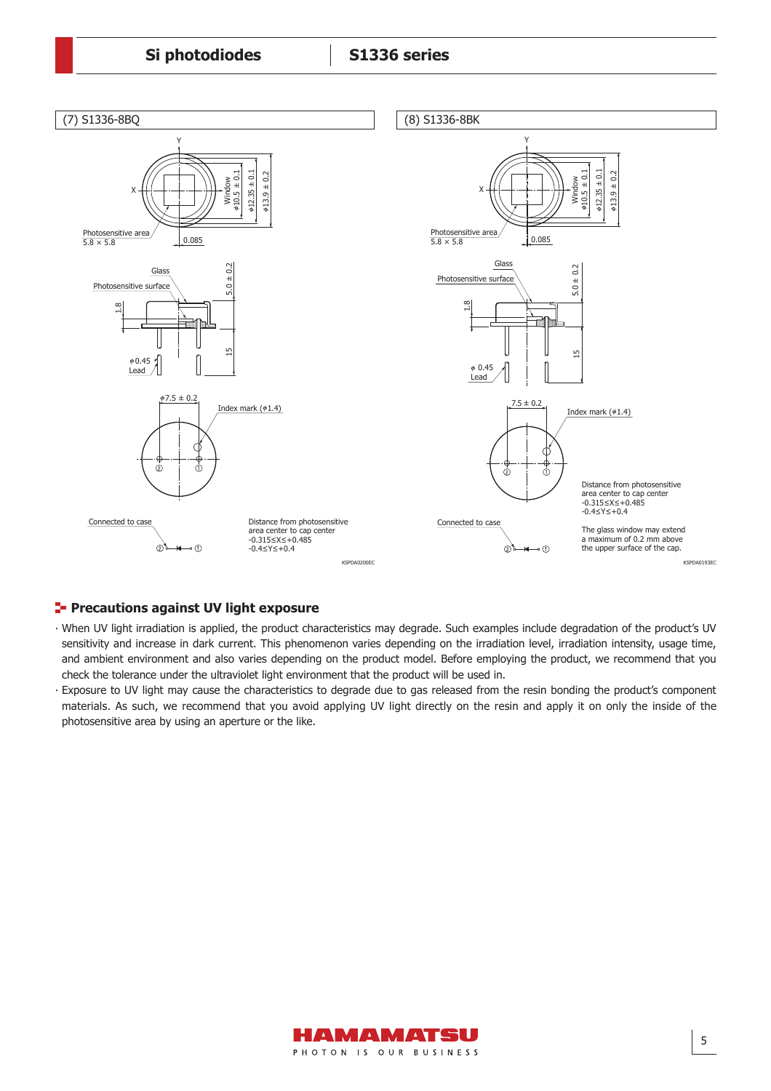

### **Precautions against UV light exposure**

- ∙ When UV light irradiation is applied, the product characteristics may degrade. Such examples include degradation of the product's UV sensitivity and increase in dark current. This phenomenon varies depending on the irradiation level, irradiation intensity, usage time, and ambient environment and also varies depending on the product model. Before employing the product, we recommend that you check the tolerance under the ultraviolet light environment that the product will be used in.
- ∙ Exposure to UV light may cause the characteristics to degrade due to gas released from the resin bonding the product's component materials. As such, we recommend that you avoid applying UV light directly on the resin and apply it on only the inside of the photosensitive area by using an aperture or the like.